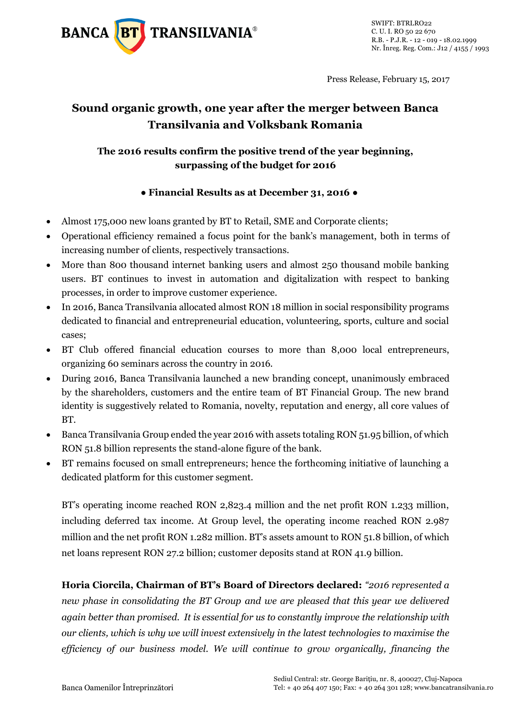

Press Release, February 15, 2017

# **Sound organic growth, one year after the merger between Banca Transilvania and Volksbank Romania**

## **The 2016 results confirm the positive trend of the year beginning, surpassing of the budget for 2016**

## **● Financial Results as at December 31, 2016 ●**

- Almost 175,000 new loans granted by BT to Retail, SME and Corporate clients;
- Operational efficiency remained a focus point for the bank's management, both in terms of increasing number of clients, respectively transactions.
- More than 800 thousand internet banking users and almost 250 thousand mobile banking users. BT continues to invest in automation and digitalization with respect to banking processes, in order to improve customer experience.
- In 2016, Banca Transilvania allocated almost RON 18 million in social responsibility programs dedicated to financial and entrepreneurial education, volunteering, sports, culture and social cases;
- BT Club offered financial education courses to more than 8,000 local entrepreneurs, organizing 60 seminars across the country in 2016.
- During 2016, Banca Transilvania launched a new branding concept, unanimously embraced by the shareholders, customers and the entire team of BT Financial Group. The new brand identity is suggestively related to Romania, novelty, reputation and energy, all core values of BT.
- Banca Transilvania Group ended the year 2016 with assets totaling RON 51.95 billion, of which RON 51.8 billion represents the stand-alone figure of the bank.
- BT remains focused on small entrepreneurs; hence the forthcoming initiative of launching a dedicated platform for this customer segment.

BT's operating income reached RON 2,823.4 million and the net profit RON 1.233 million, including deferred tax income. At Group level, the operating income reached RON 2.987 million and the net profit RON 1.282 million. BT's assets amount to RON 51.8 billion, of which net loans represent RON 27.2 billion; customer deposits stand at RON 41.9 billion.

**Horia Ciorcila, Chairman of BT's Board of Directors declared:** *"2016 represented a new phase in consolidating the BT Group and we are pleased that this year we delivered again better than promised. It is essential for us to constantly improve the relationship with our clients, which is why we will invest extensively in the latest technologies to maximise the efficiency of our business model. We will continue to grow organically, financing the*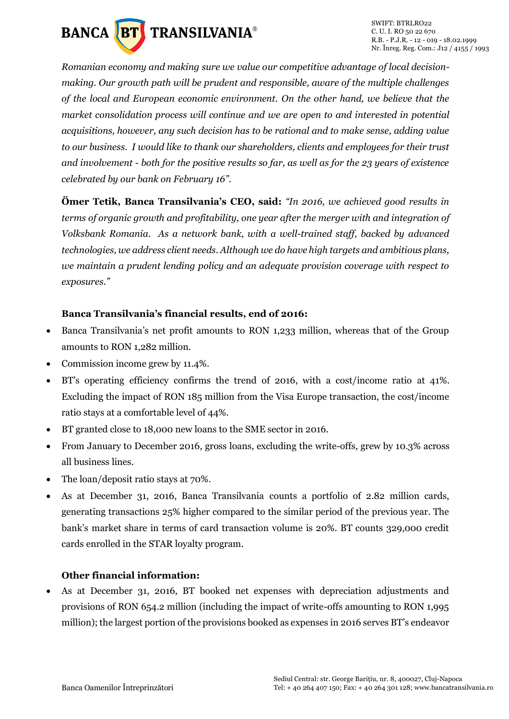

*Romanian economy and making sure we value our competitive advantage of local decisionmaking. Our growth path will be prudent and responsible, aware of the multiple challenges of the local and European economic environment. On the other hand, we believe that the market consolidation process will continue and we are open to and interested in potential acquisitions, however, any such decision has to be rational and to make sense, adding value to our business. I would like to thank our shareholders, clients and employees for their trust and involvement - both for the positive results so far, as well as for the 23 years of existence celebrated by our bank on February 16".*

**Ömer Tetik, Banca Transilvania's CEO, said:** *"In 2016, we achieved good results in terms of organic growth and profitability, one year after the merger with and integration of Volksbank Romania. As a network bank, with a well-trained staff, backed by advanced technologies, we address client needs. Although we do have high targets and ambitious plans, we maintain a prudent lending policy and an adequate provision coverage with respect to exposures."* 

### **Banca Transilvania's financial results, end of 2016:**

- Banca Transilvania's net profit amounts to RON 1,233 million, whereas that of the Group amounts to RON 1,282 million.
- Commission income grew by 11.4%.
- BT's operating efficiency confirms the trend of 2016, with a cost/income ratio at 41%. Excluding the impact of RON 185 million from the Visa Europe transaction, the cost/income ratio stays at a comfortable level of 44%.
- BT granted close to 18,000 new loans to the SME sector in 2016.
- From January to December 2016, gross loans, excluding the write-offs, grew by 10.3% across all business lines.
- The loan/deposit ratio stays at 70%.
- As at December 31, 2016, Banca Transilvania counts a portfolio of 2.82 million cards, generating transactions 25% higher compared to the similar period of the previous year. The bank's market share in terms of card transaction volume is 20%. BT counts 329,000 credit cards enrolled in the STAR loyalty program.

### **Other financial information:**

 As at December 31, 2016, BT booked net expenses with depreciation adjustments and provisions of RON 654.2 million (including the impact of write-offs amounting to RON 1,995 million); the largest portion of the provisions booked as expenses in 2016 serves BT's endeavor